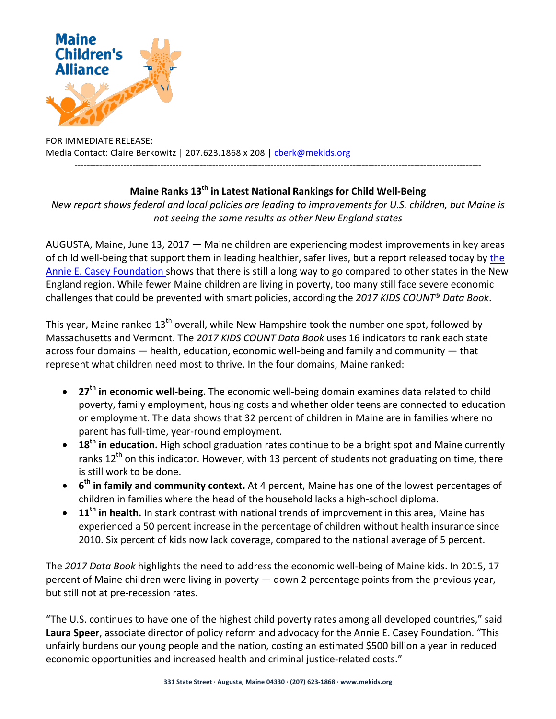

FOR IMMEDIATE RELEASE: Media Contact: Claire Berkowitz | 207.623.1868 x 208 | cberk@mekids.org

## **Maine Ranks 13<sup>th</sup> in Latest National Rankings for Child Well-Being**

-------------------------------------------------------------------------------------------------------------------------------------

*New report shows federal and local policies are leading to improvements for U.S. children, but Maine is* not seeing the same results as other New England states

AUGUSTA, Maine, June 13, 2017  $-$  Maine children are experiencing modest improvements in key areas of child well-being that support them in leading healthier, safer lives, but a report released today by the Annie E. Casey Foundation shows that there is still a long way to go compared to other states in the New England region. While fewer Maine children are living in poverty, too many still face severe economic challenges that could be prevented with smart policies, according the 2017 KIDS COUNT<sup>®</sup> Data Book.

This year, Maine ranked  $13<sup>th</sup>$  overall, while New Hampshire took the number one spot, followed by Massachusetts and Vermont. The 2017 KIDS COUNT Data Book uses 16 indicators to rank each state across four domains  $-$  health, education, economic well-being and family and community  $-$  that represent what children need most to thrive. In the four domains, Maine ranked:

- 27<sup>th</sup> in economic well-being. The economic well-being domain examines data related to child poverty, family employment, housing costs and whether older teens are connected to education or employment. The data shows that 32 percent of children in Maine are in families where no parent has full-time, year-round employment.
- **18<sup>th</sup> in education.** High school graduation rates continue to be a bright spot and Maine currently ranks  $12<sup>th</sup>$  on this indicator. However, with 13 percent of students not graduating on time, there is still work to be done.
- **6<sup>th</sup> in family and community context.** At 4 percent, Maine has one of the lowest percentages of children in families where the head of the household lacks a high-school diploma.
- 11<sup>th</sup> in health. In stark contrast with national trends of improvement in this area, Maine has experienced a 50 percent increase in the percentage of children without health insurance since 2010. Six percent of kids now lack coverage, compared to the national average of 5 percent.

The 2017 Data Book highlights the need to address the economic well-being of Maine kids. In 2015, 17 percent of Maine children were living in poverty  $-$  down 2 percentage points from the previous year, but still not at pre-recession rates.

"The U.S. continues to have one of the highest child poverty rates among all developed countries," said Laura Speer, associate director of policy reform and advocacy for the Annie E. Casey Foundation. "This unfairly burdens our young people and the nation, costing an estimated \$500 billion a year in reduced economic opportunities and increased health and criminal justice-related costs."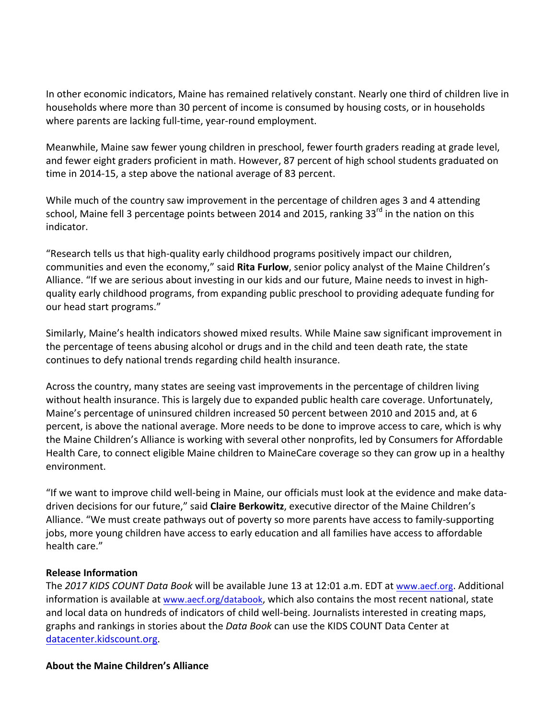In other economic indicators, Maine has remained relatively constant. Nearly one third of children live in households where more than 30 percent of income is consumed by housing costs, or in households where parents are lacking full-time, year-round employment.

Meanwhile, Maine saw fewer young children in preschool, fewer fourth graders reading at grade level, and fewer eight graders proficient in math. However, 87 percent of high school students graduated on time in 2014-15, a step above the national average of 83 percent.

While much of the country saw improvement in the percentage of children ages 3 and 4 attending school, Maine fell 3 percentage points between 2014 and 2015, ranking 33 $^{rd}$  in the nation on this indicator. 

"Research tells us that high-quality early childhood programs positively impact our children, communities and even the economy," said Rita Furlow, senior policy analyst of the Maine Children's Alliance. "If we are serious about investing in our kids and our future, Maine needs to invest in highquality early childhood programs, from expanding public preschool to providing adequate funding for our head start programs."

Similarly, Maine's health indicators showed mixed results. While Maine saw significant improvement in the percentage of teens abusing alcohol or drugs and in the child and teen death rate, the state continues to defy national trends regarding child health insurance.

Across the country, many states are seeing vast improvements in the percentage of children living without health insurance. This is largely due to expanded public health care coverage. Unfortunately, Maine's percentage of uninsured children increased 50 percent between 2010 and 2015 and, at 6 percent, is above the national average. More needs to be done to improve access to care, which is why the Maine Children's Alliance is working with several other nonprofits, led by Consumers for Affordable Health Care, to connect eligible Maine children to MaineCare coverage so they can grow up in a healthy environment.

"If we want to improve child well-being in Maine, our officials must look at the evidence and make datadriven decisions for our future," said **Claire Berkowitz**, executive director of the Maine Children's Alliance. "We must create pathways out of poverty so more parents have access to family-supporting jobs, more young children have access to early education and all families have access to affordable health care."

## **Release Information**

The 2017 KIDS COUNT Data Book will be available June 13 at 12:01 a.m. EDT at www.aecf.org. Additional information is available at www.aecf.org/databook, which also contains the most recent national, state and local data on hundreds of indicators of child well-being. Journalists interested in creating maps, graphs and rankings in stories about the *Data Book* can use the KIDS COUNT Data Center at datacenter.kidscount.org. 

## **About the Maine Children's Alliance**